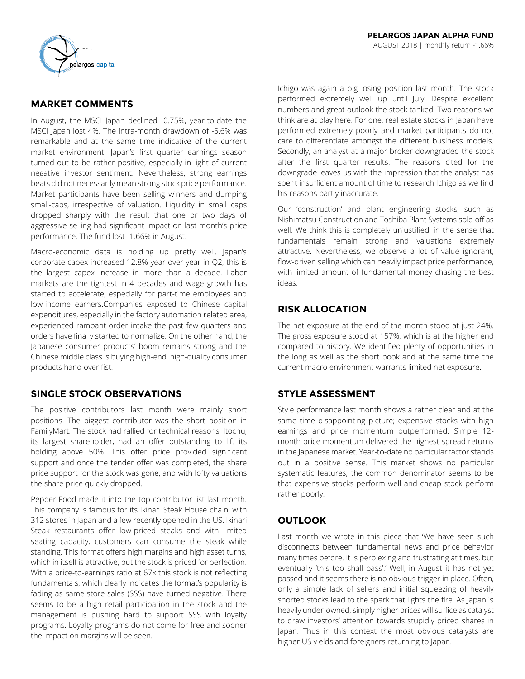

# **MARKET COMMENTS**

In August, the MSCI Japan declined -0.75%, year-to-date the MSCI Japan lost 4%. The intra-month drawdown of -5.6% was remarkable and at the same time indicative of the current market environment. Japan's first quarter earnings season turned out to be rather positive, especially in light of current negative investor sentiment. Nevertheless, strong earnings beats did not necessarily mean strong stock price performance. Market participants have been selling winners and dumping small-caps, irrespective of valuation. Liquidity in small caps dropped sharply with the result that one or two days of aggressive selling had significant impact on last month's price performance. The fund lost -1.66% in August.

Macro-economic data is holding up pretty well. Japan's corporate capex increased 12.8% year-over-year in Q2, this is the largest capex increase in more than a decade. Labor markets are the tightest in 4 decades and wage growth has started to accelerate, especially for part-time employees and low-income earners.Companies exposed to Chinese capital expenditures, especially in the factory automation related area, experienced rampant order intake the past few quarters and orders have finally started to normalize. On the other hand, the Japanese consumer products' boom remains strong and the Chinese middle class is buying high-end, high-quality consumer products hand over fist.

## **SINGLE STOCK OBSERVATIONS**

The positive contributors last month were mainly short positions. The biggest contributor was the short position in FamilyMart. The stock had rallied for technical reasons; Itochu, its largest shareholder, had an offer outstanding to lift its holding above 50%. This offer price provided significant support and once the tender offer was completed, the share price support for the stock was gone, and with lofty valuations the share price quickly dropped.

Pepper Food made it into the top contributor list last month. This company is famous for its Ikinari Steak House chain, with 312 stores in Japan and a few recently opened in the US. Ikinari Steak restaurants offer low-priced steaks and with limited seating capacity, customers can consume the steak while standing. This format offers high margins and high asset turns, which in itself is attractive, but the stock is priced for perfection. With a price-to-earnings ratio at 67x this stock is not reflecting fundamentals, which clearly indicates the format's popularity is fading as same-store-sales (SSS) have turned negative. There seems to be a high retail participation in the stock and the management is pushing hard to support SSS with loyalty programs. Loyalty programs do not come for free and sooner the impact on margins will be seen.

Ichigo was again a big losing position last month. The stock performed extremely well up until July. Despite excellent numbers and great outlook the stock tanked. Two reasons we think are at play here. For one, real estate stocks in Japan have performed extremely poorly and market participants do not care to differentiate amongst the different business models. Secondly, an analyst at a major broker downgraded the stock after the first quarter results. The reasons cited for the downgrade leaves us with the impression that the analyst has spent insufficient amount of time to research Ichigo as we find his reasons partly inaccurate.

Our 'construction' and plant engineering stocks, such as Nishimatsu Construction and Toshiba Plant Systems sold off as well. We think this is completely unjustified, in the sense that fundamentals remain strong and valuations extremely attractive. Nevertheless, we observe a lot of value ignorant, flow-driven selling which can heavily impact price performance, with limited amount of fundamental money chasing the best ideas.

# **RISK ALLOCATION**

The net exposure at the end of the month stood at just 24%. The gross exposure stood at 157%, which is at the higher end compared to history. We identified plenty of opportunities in the long as well as the short book and at the same time the current macro environment warrants limited net exposure.

# **STYLE ASSESSMENT**

Style performance last month shows a rather clear and at the same time disappointing picture; expensive stocks with high earnings and price momentum outperformed. Simple 12 month price momentum delivered the highest spread returns in the Japanese market. Year-to-date no particular factor stands out in a positive sense. This market shows no particular systematic features, the common denominator seems to be that expensive stocks perform well and cheap stock perform rather poorly.

# **OUTLOOK**

Last month we wrote in this piece that 'We have seen such disconnects between fundamental news and price behavior many times before. It is perplexing and frustrating at times, but eventually 'this too shall pass'.' Well, in August it has not yet passed and it seems there is no obvious trigger in place. Often, only a simple lack of sellers and initial squeezing of heavily shorted stocks lead to the spark that lights the fire. As Japan is heavily under-owned, simply higher prices will suffice as catalyst to draw investors' attention towards stupidly priced shares in Japan. Thus in this context the most obvious catalysts are higher US yields and foreigners returning to Japan.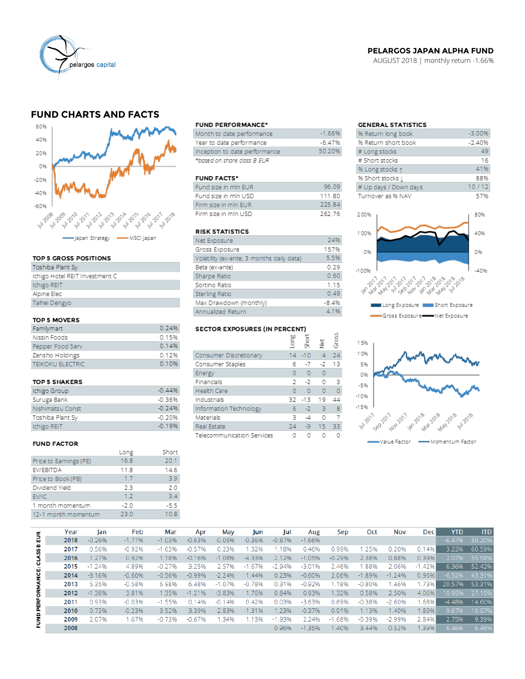

### **PELARGOS JAPAN ALPHA FUND**

AUGUST 2018 | monthly return -1.66%

## **FUND CHARTS AND FACTS**



#### TOP 5 GROSS POSITIONS

| Toshiba Plant Sy               |
|--------------------------------|
| Ichigo Hotel REIT Investment C |
| Ichigo REIT                    |
| Alpine Elec                    |
| Taihei Dengyo                  |
|                                |

#### TOP 5 MOVERS

| Familymart              | 0.24%   |
|-------------------------|---------|
| Nissin Foods            | 0.15%   |
| Pepper Food Serv        | 0 1 4 % |
| Zensho Holdings         | 0 1 2 % |
| <b>TEIKOKU ELECTRIC</b> | 0.10%   |

#### TOP 5 SHAKERS

| Ichigo Group     | $-0.44%$ |
|------------------|----------|
| Suruga Bank      | $-0.36%$ |
| Nishimatsu Const | $-0.24%$ |
| Toshiba Plant Sy | $-0.20%$ |
| Ichigo REIT      | $-0.19%$ |

#### **FUND FACTOR**

|                        | Long   | Short  |
|------------------------|--------|--------|
| Price to Earnings (PE) | 16.8   | 20.1   |
| EV/EBITDA              | 11.8   | 14.6   |
| Price to Book (PB)     | 1.7    | 39     |
| Dividend Yield         | 23     | 2.0    |
| EV/IC                  | 17     | 34     |
| 1 month momentum       | $-2.0$ | $-5.5$ |
| 12-1 month momentum    | 23.0   | 10.8   |
|                        |        |        |

#### **FUND PERFORMANCE\***

| Month to date performance     | $-166%$  |
|-------------------------------|----------|
| Year to date performance      | $-6.47%$ |
| Inception to date performance | 50.20%   |
| *based on share class B EUR   |          |

#### **FUND FACTS\***

| Fund size in min EUR | 96.09  |
|----------------------|--------|
| Fund size in mln USD | 11180  |
| Firm size in min FUR | 225.84 |
| Firm size in min USD | 262.76 |

#### **RISK STATISTICS**

| Net Exposure                              | 24%     |
|-------------------------------------------|---------|
| Gross Exposure                            | 157%    |
| Volatility (ex-ante; 3 months daily data) | 5.5%    |
| Beta (ex-ante)                            | 0.29    |
| Sharpe Ratio                              | 0.60    |
| Sortino Ratio                             | 1.15    |
| Sterling Ratio                            | 0.49    |
| Max Drawdown (monthly)                    | $-8.4%$ |
| Annualized Return                         | 4.1%    |

# SECTOR EXPOSURES (IN PERCENT)

|                            | ξ  | ā.        | 흋        | ğ  |
|----------------------------|----|-----------|----------|----|
| Consumer Discretionary     |    | $14 - 10$ | 4        | 24 |
| Consumer Staples           | 6  | $-7$      | -2       | 13 |
| Energy                     | o  | $\Omega$  | $\circ$  |    |
| Financials                 | 2  | -7        | $\circ$  | -3 |
| <b>Health Care</b>         | O  | $\Omega$  | $\Omega$ |    |
| Industrials                | 32 | $-13$     | 19       | 44 |
| Information Technology     | 6  | $-2$      | 3        | 8  |
| Materials                  | ₹  | -4        | $\circ$  |    |
| Real Estate                | 24 | $-9$      | 15       | 33 |
| Telecommunication Services |    |           |          |    |

 $\overline{a}$ 

## **GENERAL STATISTICS**

| % Return long book    | $-3.00%$ |
|-----------------------|----------|
| % Return short book   | $-2.40%$ |
| # Long stocks         | 49       |
| # Short stocks        | 16       |
| % Long stocks 1       | 41%      |
| % Short stocks [      | 88%      |
| # Up days / Down days | 10/12    |
| Turnover as % NAV     | 57%      |
|                       |          |





|                           | Year | lan      | Feb      | Mar      | Apr      | May      | Jun      | Jul      | Aug      | Sep        | Oct      | Nov      | <b>Dec</b> | <b>YTD</b> | <b>ITD</b> |
|---------------------------|------|----------|----------|----------|----------|----------|----------|----------|----------|------------|----------|----------|------------|------------|------------|
| 틦                         | 2018 | $-0.26%$ | $-1.77%$ | $-1.03%$ | $-0.63%$ | $-0.06%$ | $-0.36%$ | $-0.87%$ | $-1.66%$ |            |          |          |            | $-6.47%$   | 50.20%     |
|                           | 2017 | 0.56%    | $-0.92%$ | $-1.63%$ | $-0.57%$ | 0.23%    | 1.32%    | 1.18%    | 0.46%    | 0.99%      | 1.25%    | 0.20%    | 0.14%      | 3.22%      | 60.59%     |
|                           | 2016 | 1.27%    | 0.92%    | 1.18%    | $-0.16%$ | $-1.08%$ | $-4.33%$ | 2.12%    | $-1.05%$ | $-0.29%$   | 2.38%    | 0.88%    | 0.39%      | 2.07%      | 55.58%     |
|                           | 2015 | $-1.24%$ | 4.89%    | $-0.27%$ | 3.25%    | 2.57%    | $-1.67%$ | $-2.94%$ | $-3.01%$ | 2.46%      | .88%     | 2.06%    | $-1.42%$   | 6.36%      | 52.42%     |
| FUND PERFORMANCE: CLASS B | 2014 | $-3.16%$ | $-0.60%$ | $-0.56%$ | $-0.99%$ | $-2.24%$ | 1.44%    | 0.23%    | $-0.60%$ | 2.06%      | $-1.89%$ | $-1.24%$ | 0.96%      | $-6.52%$   | 43.31%     |
|                           | 2013 | 5.35%    | $-0.58%$ | 6.98%    | 6.48%    | $-1.07%$ | $-0.78%$ | 0.31%    | $-0.92%$ | 1.18%      | $-0.80%$ | 1.46%    | 1.73%      | 20.57%     | 53.31%     |
|                           | 2012 | $-1.38%$ | 3.81%    | 1.35%    | $-1.21%$ | $-3.83%$ | 1.76%    | 0.84%    | 0.93%    | 1.32%      | 0.58%    | 2.50%    | 4.06%      | 10.95%     | 27.15%     |
|                           | 2011 | 0.93%    | $-0.03%$ | $-1.55%$ | 0.14%    | $-0.14%$ | 0.42%    | 0.03%    | $-3.63%$ | 0.69%      | $-0.38%$ | $-2.60%$ | .68%       | $-4.48%$   | 14.60%     |
|                           | 2010 | 0.73%    | $-0.23%$ | 3.52%    | 3.39%    | $-2.83%$ | $-1.31%$ | 1.23%    | $-0.37%$ | 0.91%      | 1.13%    | 1.40%    | 1.89%      | 9.67%      | 19.97%     |
|                           | 2009 | 2.07%    | 1.67%    | $-0.73%$ | $-0.67%$ | 1.34%    | 1.13%    | $-1.93%$ | 2.24%    | .68%<br>-1 | $-0.39%$ | $-2.99%$ | 2.84%      | 2.75%      | 9.39%      |
|                           | 2008 |          |          |          |          |          |          | 0.96%    | $-1.35%$ | 1.40%      | 3.44%    | 0.52%    | 1.39%      | 6.46%      | 6.46%      |
|                           |      |          |          |          |          |          |          |          |          |            |          |          |            |            |            |